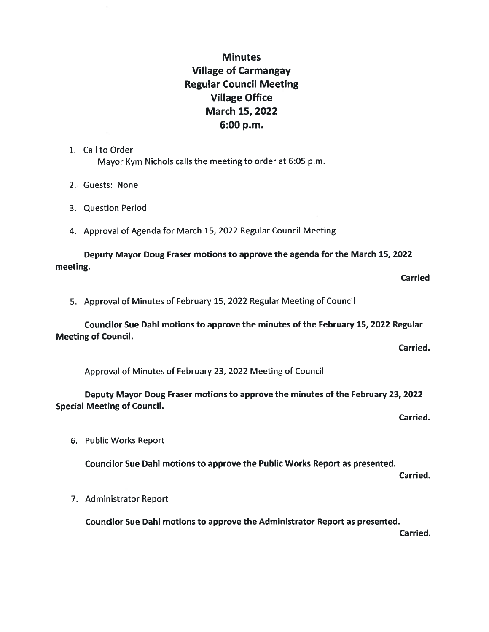|          | <b>Minutes</b><br><b>Village of Carmangay</b><br><b>Regular Council Meeting</b><br><b>Village Office</b><br>March 15, 2022<br>6:00 p.m. |  |
|----------|-----------------------------------------------------------------------------------------------------------------------------------------|--|
|          | 1. Call to Order<br>Mayor Kym Nichols calls the meeting to order at 6:05 p.m.                                                           |  |
|          | 2. Guests: None                                                                                                                         |  |
|          | 3. Question Period                                                                                                                      |  |
|          | 4. Approval of Agenda for March 15, 2022 Regular Council Meeting                                                                        |  |
| meeting. | Deputy Mayor Doug Fraser motions to approve the agenda for the March 15, 2022<br><b>Carried</b>                                         |  |
|          | 5. Approval of Minutes of February 15, 2022 Regular Meeting of Council                                                                  |  |
|          | Councilor Sue Dahl motions to approve the minutes of the February 15, 2022 Regular<br><b>Meeting of Council.</b><br>Carried.            |  |
|          | Approval of Minutes of February 23, 2022 Meeting of Council                                                                             |  |
|          | Deputy Mayor Doug Fraser motions to approve the minutes of the February 23, 2022<br><b>Special Meeting of Council.</b><br>Carried.      |  |
|          | 6. Public Works Report                                                                                                                  |  |
|          | Councilor Sue Dahl motions to approve the Public Works Report as presented.<br>Carried.                                                 |  |
|          | 7. Administrator Report                                                                                                                 |  |
|          | Councilor Sue Dahl motions to approve the Administrator Report as presented.<br>Carried.                                                |  |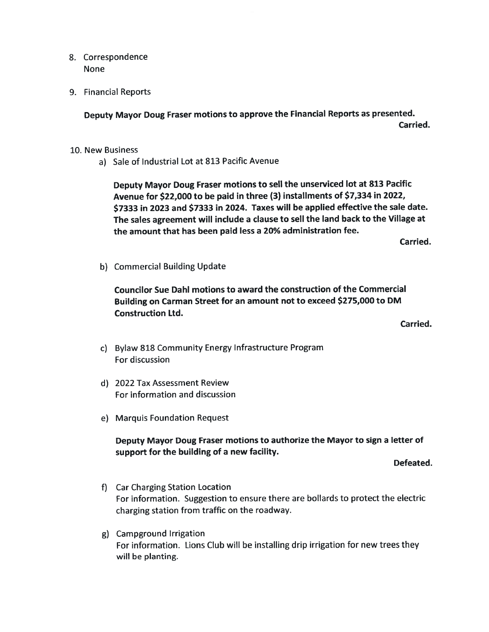## 8. Correspondence None

9. Financial Reports

Deputy Mayor Doug Fraser motions to approve the Financial Reports as presented. Carried.

- 10. New Business
	- a) Sale of Industrial Lot at 813 Pacific Avenue

Deputy Mayor Doug Fraser motions to sell the unserviced lot at 813 Pacific Avenue for \$22,000 to be paid in three (3) installments of \$7,334 in 2022, \$7333 in 2023 and \$7333 in 2024. Taxes will be applied effective the sale date. The sales agreement will include a clause to sell the land back to the Village at the amount that has been paid less a 20% administration fee.

Carried.

b) Commercial Building Update

Councilor Sue DahI motions to award the construction of the Commercial Building on Carman Street for an amount not to exceed \$275,000 to DM Construction Ltd.

Carried.

- c) Bylaw \$18 Community Energy Infrastructure Program For discussion
- d) 2022 Tax Assessment Review For information and discussion
- e) Marquis Foundation Request

Deputy Mayor Doug Fraser motions to authorize the Mayor to sign a letter of support for the building of a new facility.

Defeated.

- f) Car Charging Station Location For information. Suggestion to ensure there are bollards to protect the electric charging station from traffic on the roadway.
- g) Campground Irrigation For information. Lions Club will be installing drip irrigation for new trees they will be planting.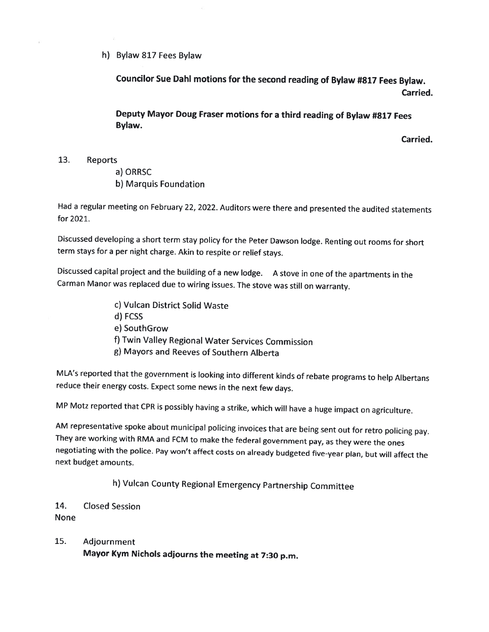h) Bylaw \$17 Fees Bylaw

Councilor Sue DahI motions for the second reading of Bylaw #817 Fees Bylaw. Carried.

Deputy Mayor Doug Fraser motions for <sup>a</sup> third reading of Bylaw #817 Fees Bylaw.

Carried.

- 13. Reports
	- a) ORRSC
	- b) Marquis Foundation

Had <sup>a</sup> regular meeting on February 22, 2022. Auditors were there and presented the audited statements for 2021.

Discussed developing <sup>a</sup> short term stay policy for the Peter Dawson lodge. Renting out rooms for short term stays for <sup>a</sup> per night charge. Akin to respite or relief stays.

Discussed capital project and the building of <sup>a</sup> new lodge. <sup>A</sup> stove in one of the apartments in the Carman Manor was replaced due to wiring issues. The stove was still on warranty.

- c) Vulcan District Solid Waste
- d) FCSS
- e) SouthGrow
- 1) Twin Valley Regional Water Services Commission
- g) Mayors and Reeves of Southern Alberta

MLA's reported that the government is looking into different kinds of rebate programs to help Albertans reduce their energy costs. Expect some news in the next few days.

MP Motz reported that CPR is possibly having <sup>a</sup> strike, which will have <sup>a</sup> huge impact on agriculture.

AM representative spoke about municipal policing invoices that are being sent out for retro policing pay. They are working with RMA and FCM to make the federal government pay, as they were the ones negotiating with the police. Pay won't affect costs on already budgeted five-year <sup>p</sup>lan, but will affect the next budget amounts.

h) Vulcan County Regional Emergency Partnership Committee

## 14. Closed Session

None

## 15. Adjournment

Mayor Kym Nichols adjourns the meeting at 7:30 p.m.